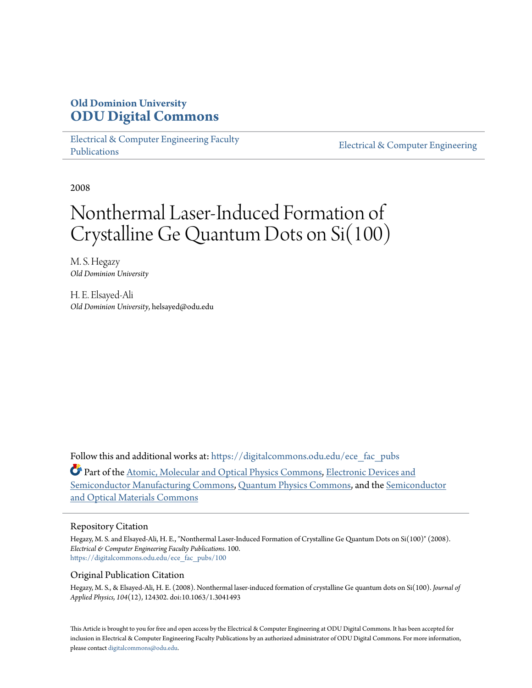## **Old Dominion University [ODU Digital Commons](https://digitalcommons.odu.edu?utm_source=digitalcommons.odu.edu%2Fece_fac_pubs%2F100&utm_medium=PDF&utm_campaign=PDFCoverPages)**

[Electrical & Computer Engineering Faculty](https://digitalcommons.odu.edu/ece_fac_pubs?utm_source=digitalcommons.odu.edu%2Fece_fac_pubs%2F100&utm_medium=PDF&utm_campaign=PDFCoverPages) [Publications](https://digitalcommons.odu.edu/ece_fac_pubs?utm_source=digitalcommons.odu.edu%2Fece_fac_pubs%2F100&utm_medium=PDF&utm_campaign=PDFCoverPages)

[Electrical & Computer Engineering](https://digitalcommons.odu.edu/ece?utm_source=digitalcommons.odu.edu%2Fece_fac_pubs%2F100&utm_medium=PDF&utm_campaign=PDFCoverPages)

2008

# Nonthermal Laser-Induced Formation of Crystalline Ge Quantum Dots on Si(100)

M. S. Hegazy *Old Dominion University*

H. E. Elsayed-Ali *Old Dominion University*, helsayed@odu.edu

Follow this and additional works at: [https://digitalcommons.odu.edu/ece\\_fac\\_pubs](https://digitalcommons.odu.edu/ece_fac_pubs?utm_source=digitalcommons.odu.edu%2Fece_fac_pubs%2F100&utm_medium=PDF&utm_campaign=PDFCoverPages)

Part of the [Atomic, Molecular and Optical Physics Commons,](http://network.bepress.com/hgg/discipline/195?utm_source=digitalcommons.odu.edu%2Fece_fac_pubs%2F100&utm_medium=PDF&utm_campaign=PDFCoverPages) [Electronic Devices and](http://network.bepress.com/hgg/discipline/272?utm_source=digitalcommons.odu.edu%2Fece_fac_pubs%2F100&utm_medium=PDF&utm_campaign=PDFCoverPages) [Semiconductor Manufacturing Commons](http://network.bepress.com/hgg/discipline/272?utm_source=digitalcommons.odu.edu%2Fece_fac_pubs%2F100&utm_medium=PDF&utm_campaign=PDFCoverPages), [Quantum Physics Commons,](http://network.bepress.com/hgg/discipline/206?utm_source=digitalcommons.odu.edu%2Fece_fac_pubs%2F100&utm_medium=PDF&utm_campaign=PDFCoverPages) and the [Semiconductor](http://network.bepress.com/hgg/discipline/290?utm_source=digitalcommons.odu.edu%2Fece_fac_pubs%2F100&utm_medium=PDF&utm_campaign=PDFCoverPages) [and Optical Materials Commons](http://network.bepress.com/hgg/discipline/290?utm_source=digitalcommons.odu.edu%2Fece_fac_pubs%2F100&utm_medium=PDF&utm_campaign=PDFCoverPages)

## Repository Citation

Hegazy, M. S. and Elsayed-Ali, H. E., "Nonthermal Laser-Induced Formation of Crystalline Ge Quantum Dots on Si(100)" (2008). *Electrical & Computer Engineering Faculty Publications*. 100. [https://digitalcommons.odu.edu/ece\\_fac\\_pubs/100](https://digitalcommons.odu.edu/ece_fac_pubs/100?utm_source=digitalcommons.odu.edu%2Fece_fac_pubs%2F100&utm_medium=PDF&utm_campaign=PDFCoverPages)

## Original Publication Citation

Hegazy, M. S., & Elsayed-Ali, H. E. (2008). Nonthermal laser-induced formation of crystalline Ge quantum dots on Si(100). *Journal of Applied Physics, 104*(12), 124302. doi:10.1063/1.3041493

This Article is brought to you for free and open access by the Electrical & Computer Engineering at ODU Digital Commons. It has been accepted for inclusion in Electrical & Computer Engineering Faculty Publications by an authorized administrator of ODU Digital Commons. For more information, please contact [digitalcommons@odu.edu](mailto:digitalcommons@odu.edu).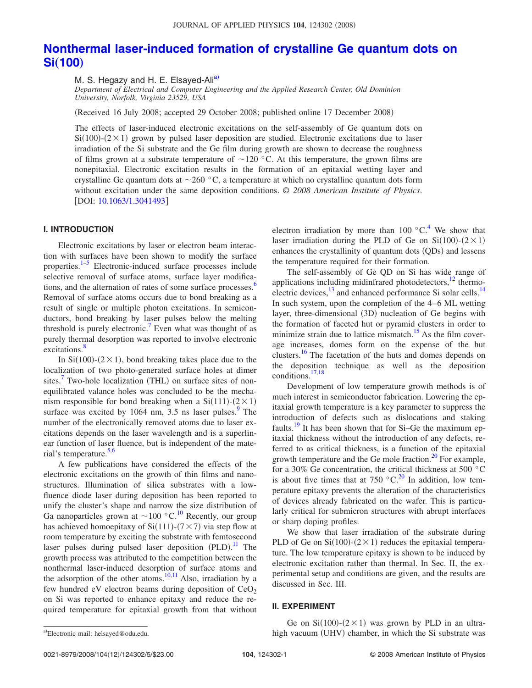## **[Nonthermal laser-induced formation of crystalline Ge quantum dots on](http://dx.doi.org/10.1063/1.3041493)**  $Si(100)$  $Si(100)$  $Si(100)$

M. S. Hegazy and H. E. Elsayed-Ali<sup>a)</sup>

*Department of Electrical and Computer Engineering and the Applied Research Center, Old Dominion University, Norfolk, Virginia 23529, USA*

Received 16 July 2008; accepted 29 October 2008; published online 17 December 2008-

The effects of laser-induced electronic excitations on the self-assembly of Ge quantum dots on  $Si(100)$ - $(2 \times 1)$  grown by pulsed laser deposition are studied. Electronic excitations due to laser irradiation of the Si substrate and the Ge film during growth are shown to decrease the roughness of films grown at a substrate temperature of  $\sim$  120 °C. At this temperature, the grown films are nonepitaxial. Electronic excitation results in the formation of an epitaxial wetting layer and crystalline Ge quantum dots at  $\sim$  260 °C, a temperature at which no crystalline quantum dots form without excitation under the same deposition conditions. © *2008 American Institute of Physics*. [DOI: [10.1063/1.3041493](http://dx.doi.org/10.1063/1.3041493)]

## **I. INTRODUCTION**

Electronic excitations by laser or electron beam interaction with surfaces have been shown to modify the surface properties[.1](#page-5-0)[–5](#page-5-1) Electronic-induced surface processes include selective removal of surface atoms, surface layer modifications, and the alternation of rates of some surface processes.<sup>6</sup> Removal of surface atoms occurs due to bond breaking as a result of single or multiple photon excitations. In semiconductors, bond breaking by laser pulses below the melting threshold is purely electronic.<sup>7</sup> Even what was thought of as purely thermal desorption was reported to involve electronic excitations.<sup>8</sup>

In Si(100)-( $2 \times 1$ ), bond breaking takes place due to the localization of two photo-generated surface holes at dimer sites.<sup>7</sup> Two-hole localization (THL) on surface sites of nonequilibrated valance holes was concluded to be the mechanism responsible for bond breaking when a  $Si(111)-(2\times1)$ surface was excited by  $1064$  nm,  $3.5$  ns laser pulses.<sup>9</sup> The number of the electronically removed atoms due to laser excitations depends on the laser wavelength and is a superlinear function of laser fluence, but is independent of the mate-rial's temperature.<sup>5,[6](#page-5-2)</sup>

A few publications have considered the effects of the electronic excitations on the growth of thin films and nanostructures. Illumination of silica substrates with a lowfluence diode laser during deposition has been reported to unify the cluster's shape and narrow the size distribution of Ga nanoparticles grown at  $\sim$ [10](#page-5-6)0 °C.<sup>10</sup> Recently, our group has achieved homoepitaxy of  $Si(111)-(7\times7)$  via step flow at room temperature by exciting the substrate with femtosecond laser pulses during pulsed laser deposition (PLD).<sup>[11](#page-5-7)</sup> The growth process was attributed to the competition between the nonthermal laser-induced desorption of surface atoms and the adsorption of the other atoms.<sup>10[,11](#page-5-7)</sup> Also, irradiation by a few hundred eV electron beams during deposition of  $CeO<sub>2</sub>$ on Si was reported to enhance epitaxy and reduce the required temperature for epitaxial growth from that without

electron irradiation by more than 100  $^{\circ}$ C.<sup>4</sup> We show that laser irradiation during the PLD of Ge on  $Si(100)-(2\times1)$ enhances the crystallinity of quantum dots (QDs) and lessens the temperature required for their formation.

The self-assembly of Ge QD on Si has wide range of applications including midinfrared photodetectors, $12$  thermoelectric devices, $^{13}$  and enhanced performance Si solar cells.<sup>14</sup> In such system, upon the completion of the 4–6 ML wetting layer, three-dimensional (3D) nucleation of Ge begins with the formation of faceted hut or pyramid clusters in order to minimize strain due to lattice mismatch.<sup>15</sup> As the film coverage increases, domes form on the expense of the hut clusters[.16](#page-5-13) The facetation of the huts and domes depends on the deposition technique as well as the deposition conditions[.17,](#page-5-14)[18](#page-5-15)

Development of low temperature growth methods is of much interest in semiconductor fabrication. Lowering the epitaxial growth temperature is a key parameter to suppress the introduction of defects such as dislocations and staking faults.<sup>19</sup> It has been shown that for Si–Ge the maximum epitaxial thickness without the introduction of any defects, referred to as critical thickness, is a function of the epitaxial growth temperature and the Ge mole fraction.<sup>20</sup> For example, for a 30% Ge concentration, the critical thickness at 500 °C is about five times that at  $750\text{ °C}^{20}$  In addition, low temperature epitaxy prevents the alteration of the characteristics of devices already fabricated on the wafer. This is particularly critical for submicron structures with abrupt interfaces or sharp doping profiles.

We show that laser irradiation of the substrate during PLD of Ge on  $Si(100)$ - $(2 \times 1)$  reduces the epitaxial temperature. The low temperature epitaxy is shown to be induced by electronic excitation rather than thermal. In Sec. II, the experimental setup and conditions are given, and the results are discussed in Sec. III.

## **II. EXPERIMENT**

Ge on  $Si(100)$ - $(2 \times 1)$  was grown by PLD in an ultra-

<span id="page-1-0"></span>a) Electronic mail: helsayed@odu.edu. high vacuum (UHV) chamber, in which the Si substrate was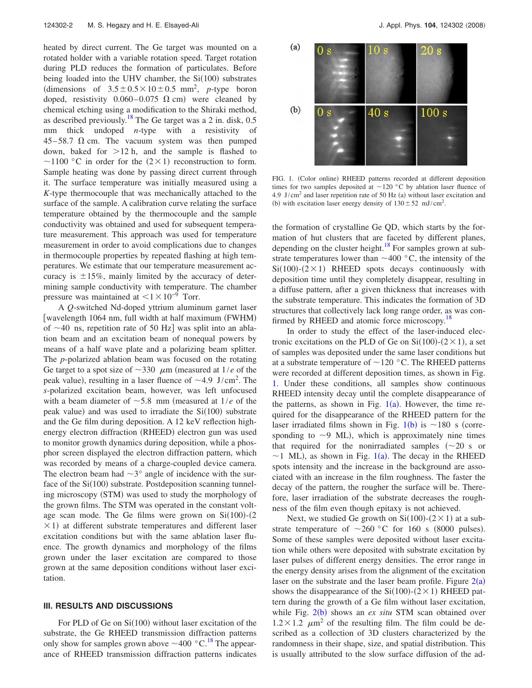heated by direct current. The Ge target was mounted on a rotated holder with a variable rotation speed. Target rotation during PLD reduces the formation of particulates. Before being loaded into the UHV chamber, the Si(100) substrates (dimensions of  $3.5 \pm 0.5 \times 10 \pm 0.5$  mm<sup>2</sup>, *p*-type boron doped, resistivity  $0.060 - 0.075 \Omega$  cm) were cleaned by chemical etching using a modification to the Shiraki method, as described previously.<sup>18</sup> The Ge target was a 2 in. disk,  $0.5$ mm thick undoped *n*-type with a resistivity of  $45-58.7$   $\Omega$  cm. The vacuum system was then pumped down, baked for  $>12$  h, and the sample is flashed to ~1100 °C in order for the  $(2 \times 1)$  reconstruction to form. Sample heating was done by passing direct current through it. The surface temperature was initially measured using a *K*-type thermocouple that was mechanically attached to the surface of the sample. A calibration curve relating the surface temperature obtained by the thermocouple and the sample conductivity was obtained and used for subsequent temperature measurement. This approach was used for temperature measurement in order to avoid complications due to changes in thermocouple properties by repeated flashing at high temperatures. We estimate that our temperature measurement accuracy is  $\pm 15\%$ , mainly limited by the accuracy of determining sample conductivity with temperature. The chamber pressure was maintained at  $1\times10^{-9}$  Torr.

A *Q*-switched Nd-doped yttrium aluminum garnet laser [wavelength 1064 nm, full width at half maximum (FWHM) of  $\sim$ 40 ns, repetition rate of 50 Hz] was split into an ablation beam and an excitation beam of nonequal powers by means of a half wave plate and a polarizing beam splitter. The *p*-polarized ablation beam was focused on the rotating Ge target to a spot size of  $\sim$ 330  $\mu$ m (measured at 1/*e* of the peak value), resulting in a laser fluence of  $\sim$ 4.9 J/cm<sup>2</sup>. The *s*-polarized excitation beam, however, was left unfocused with a beam diameter of  $\sim$  5.8 mm (measured at  $1/e$  of the peak value) and was used to irradiate the  $Si(100)$  substrate and the Ge film during deposition. A 12 keV reflection highenergy electron diffraction (RHEED) electron gun was used to monitor growth dynamics during deposition, while a phosphor screen displayed the electron diffraction pattern, which was recorded by means of a charge-coupled device camera. The electron beam had  $\sim$ 3° angle of incidence with the surface of the Si(100) substrate. Postdeposition scanning tunneling microscopy (STM) was used to study the morphology of the grown films. The STM was operated in the constant voltage scan mode. The Ge films were grown on  $Si(100)$ - $(2)$  $\times$  1) at different substrate temperatures and different laser excitation conditions but with the same ablation laser fluence. The growth dynamics and morphology of the films grown under the laser excitation are compared to those grown at the same deposition conditions without laser excitation.

#### **III. RESULTS AND DISCUSSIONS**

For PLD of Ge on  $Si(100)$  without laser excitation of the substrate, the Ge RHEED transmission diffraction patterns only show for samples grown above  $\sim$ 400 °C.<sup>18</sup> The appearance of RHEED transmission diffraction patterns indicates

<span id="page-2-0"></span>

FIG. 1. (Color online) RHEED patterns recorded at different deposition times for two samples deposited at  $\sim$ 120 °C by ablation laser fluence of 4.9 J/cm<sup>2</sup> and laser repetition rate of 50 Hz (a) without laser excitation and (b) with excitation laser energy density of  $130 \pm 52$  mJ/cm<sup>2</sup>.

the formation of crystalline Ge QD, which starts by the formation of hut clusters that are faceted by different planes, depending on the cluster height.<sup>18</sup> For samples grown at substrate temperatures lower than  $\sim$  400 °C, the intensity of the  $Si(100)$ - $(2 \times 1)$  RHEED spots decays continuously with deposition time until they completely disappear, resulting in a diffuse pattern, after a given thickness that increases with the substrate temperature. This indicates the formation of 3D structures that collectively lack long range order, as was confirmed by RHEED and atomic force microscopy.<sup>18</sup>

In order to study the effect of the laser-induced electronic excitations on the PLD of Ge on  $Si(100)-(2\times1)$ , a set of samples was deposited under the same laser conditions but at a substrate temperature of  $\sim$  120 °C. The RHEED patterns were recorded at different deposition times, as shown in Fig. [1.](#page-2-0) Under these conditions, all samples show continuous RHEED intensity decay until the complete disappearance of the patterns, as shown in Fig.  $1(a)$  $1(a)$ . However, the time required for the disappearance of the RHEED pattern for the laser irradiated films shown in Fig.  $1(b)$  $1(b)$  is  $\sim$  180 s (corresponding to  $\sim$ 9 ML), which is approximately nine times that required for the nonirradiated samples  $({\sim}20 \text{ s or})$  $\sim$ [1](#page-2-0) ML), as shown in Fig. 1(a). The decay in the RHEED spots intensity and the increase in the background are associated with an increase in the film roughness. The faster the decay of the pattern, the rougher the surface will be. Therefore, laser irradiation of the substrate decreases the roughness of the film even though epitaxy is not achieved.

Next, we studied Ge growth on  $Si(100)-(2\times1)$  at a substrate temperature of  $\sim$  260 °C for 160 s (8000 pulses). Some of these samples were deposited without laser excitation while others were deposited with substrate excitation by laser pulses of different energy densities. The error range in the energy density arises from the alignment of the excitation laser on the substrate and the laser beam profile. Figure  $2(a)$  $2(a)$ shows the disappearance of the  $Si(100)-(2\times1)$  RHEED pattern during the growth of a Ge film without laser excitation, while Fig. [2](#page-3-0)(b) shows an *ex situ* STM scan obtained over  $1.2 \times 1.2$   $\mu$ m<sup>2</sup> of the resulting film. The film could be described as a collection of 3D clusters characterized by the randomness in their shape, size, and spatial distribution. This is usually attributed to the slow surface diffusion of the ad-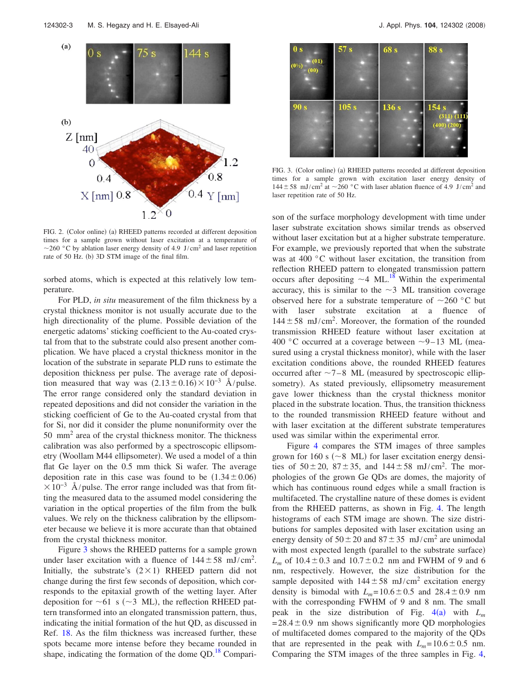<span id="page-3-0"></span>

FIG. 2. (Color online) (a) RHEED patterns recorded at different deposition times for a sample grown without laser excitation at a temperature of  $\sim$ 260 °C by ablation laser energy density of 4.9 J/cm<sup>2</sup> and laser repetition rate of 50 Hz. (b) 3D STM image of the final film.

sorbed atoms, which is expected at this relatively low temperature.

For PLD, *in situ* measurement of the film thickness by a crystal thickness monitor is not usually accurate due to the high directionality of the plume. Possible deviation of the energetic adatoms' sticking coefficient to the Au-coated crystal from that to the substrate could also present another complication. We have placed a crystal thickness monitor in the location of the substrate in separate PLD runs to estimate the deposition thickness per pulse. The average rate of deposition measured that way was  $(2.13 \pm 0.16) \times 10^{-3}$  Å/pulse. The error range considered only the standard deviation in repeated depositions and did not consider the variation in the sticking coefficient of Ge to the Au-coated crystal from that for Si, nor did it consider the plume nonuniformity over the 50 mm2 area of the crystal thickness monitor. The thickness calibration was also performed by a spectroscopic ellipsometry (Woollam M44 ellipsometer). We used a model of a thin flat Ge layer on the 0.5 mm thick Si wafer. The average deposition rate in this case was found to be  $(1.34 \pm 0.06)$  $\times 10^{-3}$  Å/pulse. The error range included was that from fitting the measured data to the assumed model considering the variation in the optical properties of the film from the bulk values. We rely on the thickness calibration by the ellipsometer because we believe it is more accurate than that obtained from the crystal thickness monitor.

Figure [3](#page-3-1) shows the RHEED patterns for a sample grown under laser excitation with a fluence of  $144 \pm 58$  mJ/cm<sup>2</sup>. Initially, the substrate's  $(2 \times 1)$  RHEED pattern did not change during the first few seconds of deposition, which corresponds to the epitaxial growth of the wetting layer. After deposition for  $\sim 61$  s ( $\sim 3$  ML), the reflection RHEED pattern transformed into an elongated transmission pattern, thus, indicating the initial formation of the hut QD, as discussed in Ref. [18.](#page-5-15) As the film thickness was increased further, these spots became more intense before they became rounded in shape, indicating the formation of the dome  $QD<sup>18</sup>$  Compari-

<span id="page-3-1"></span>

FIG. 3. (Color online) (a) RHEED patterns recorded at different deposition times for a sample grown with excitation laser energy density of  $144 \pm 58 \text{ mJ/cm}^2$  at  $\sim$  260 °C with laser ablation fluence of 4.9 J/cm<sup>2</sup> and laser repetition rate of 50 Hz.

son of the surface morphology development with time under laser substrate excitation shows similar trends as observed without laser excitation but at a higher substrate temperature. For example, we previously reported that when the substrate was at 400 °C without laser excitation, the transition from reflection RHEED pattern to elongated transmission pattern occurs after depositing  $\sim$  4 ML.<sup>18</sup> Within the experimental accuracy, this is similar to the  $\sim$ 3 ML transition coverage observed here for a substrate temperature of  $\sim$ 260 °C but with laser substrate excitation at a fluence of  $144 \pm 58$  mJ/cm<sup>2</sup>. Moreover, the formation of the rounded transmission RHEED feature without laser excitation at 400 °C occurred at a coverage between  $\sim$ 9–13 ML (measured using a crystal thickness monitor), while with the laser excitation conditions above, the rounded RHEED features occurred after  $\sim$ 7-8 ML (measured by spectroscopic ellipsometry). As stated previously, ellipsometry measurement gave lower thickness than the crystal thickness monitor placed in the substrate location. Thus, the transition thickness to the rounded transmission RHEED feature without and with laser excitation at the different substrate temperatures used was similar within the experimental error.

Figure [4](#page-4-0) compares the STM images of three samples grown for 160 s ( $\sim$ 8 ML) for laser excitation energy densities of  $50 \pm 20$ ,  $87 \pm 35$ , and  $144 \pm 58$  mJ/cm<sup>2</sup>. The morphologies of the grown Ge QDs are domes, the majority of which has continuous round edges while a small fraction is multifaceted. The crystalline nature of these domes is evident from the RHEED patterns, as shown in Fig. [4.](#page-4-0) The length histograms of each STM image are shown. The size distributions for samples deposited with laser excitation using an energy density of  $50 \pm 20$  and  $87 \pm 35$  mJ/cm<sup>2</sup> are unimodal with most expected length (parallel to the substrate surface)  $L_m$  of  $10.4 \pm 0.3$  and  $10.7 \pm 0.2$  nm and FWHM of 9 and 6 nm, respectively. However, the size distribution for the sample deposited with  $144 \pm 58$  mJ/cm<sup>2</sup> excitation energy density is bimodal with  $L_m = 10.6 \pm 0.5$  and  $28.4 \pm 0.9$  nm with the corresponding FWHM of 9 and 8 nm. The small peak in the size distribution of Fig.  $4(a)$  $4(a)$  with  $L_m$  $= 28.4 \pm 0.9$  nm shows significantly more QD morphologies of multifaceted domes compared to the majority of the QDs that are represented in the peak with  $L_m = 10.6 \pm 0.5$  nm. Comparing the STM images of the three samples in Fig. [4,](#page-4-0)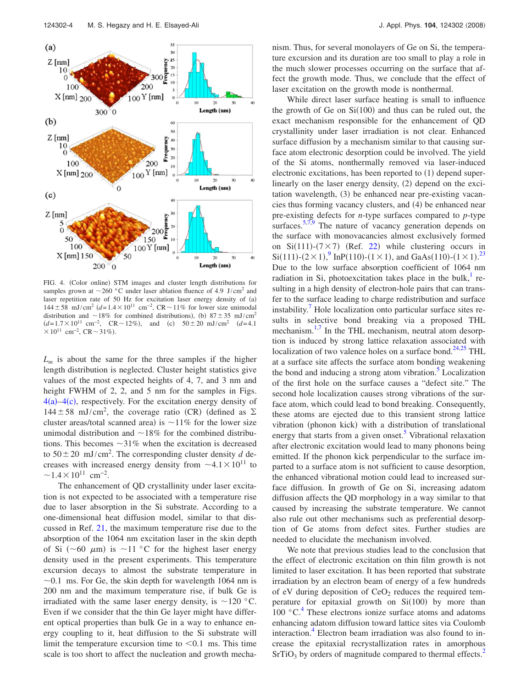<span id="page-4-0"></span>

FIG. 4. (Color online) STM images and cluster length distributions for samples grown at  $\sim$  260 °C under laser ablation fluence of 4.9 J/cm<sup>2</sup> and laser repetition rate of 50 Hz for excitation laser energy density of (a)  $144 \pm 58$  mJ/cm<sup>2</sup>  $(d=1.4\times10^{11}$  cm<sup>-2</sup>, CR ~ 11% for lower size unimodal distribution and  $\sim 18\%$  for combined distributions), (b)  $87 \pm 35$  mJ/cm<sup>2</sup>  $(d=1.7\times10^{11} \text{ cm}^{-2}$ ,  $CR \sim 12\%)$ , and (c)  $50\pm20 \text{ mJ/cm}^2$   $(d=4.1$  $\times 10^{11}$  cm<sup>-2</sup>, CR ~ 31%).

 $L_m$  is about the same for the three samples if the higher length distribution is neglected. Cluster height statistics give values of the most expected heights of 4, 7, and 3 nm and height FWHM of 2, 2, and 5 nm for the samples in Figs.  $4(a) - 4(c)$  $4(a) - 4(c)$ , respectively. For the excitation energy density of  $144 \pm 58$  mJ/cm<sup>2</sup>, the coverage ratio (CR) (defined as  $\Sigma$ cluster areas/total scanned area) is  $\sim$ 11% for the lower size unimodal distribution and  $\sim$ 18% for the combined distributions. This becomes  $\sim$ 31% when the excitation is decreased to  $50 \pm 20$  mJ/cm<sup>2</sup>. The corresponding cluster density *d* decreases with increased energy density from  $\sim 4.1 \times 10^{11}$  to  $\sim$ 1.4 $\times$ 10<sup>11</sup> cm<sup>-2</sup>.

The enhancement of QD crystallinity under laser excitation is not expected to be associated with a temperature rise due to laser absorption in the Si substrate. According to a one-dimensional heat diffusion model, similar to that discussed in Ref. [21,](#page-5-18) the maximum temperature rise due to the absorption of the 1064 nm excitation laser in the skin depth of Si ( $\sim$  60  $\mu$ m) is  $\sim$  11 °C for the highest laser energy density used in the present experiments. This temperature excursion decays to almost the substrate temperature in  $\sim$ 0.1 ms. For Ge, the skin depth for wavelength 1064 nm is 200 nm and the maximum temperature rise, if bulk Ge is irradiated with the same laser energy density, is  $\sim$ 120 °C. Even if we consider that the thin Ge layer might have different optical properties than bulk Ge in a way to enhance energy coupling to it, heat diffusion to the Si substrate will limit the temperature excursion time to  $< 0.1$  ms. This time scale is too short to affect the nucleation and growth mechanism. Thus, for several monolayers of Ge on Si, the temperature excursion and its duration are too small to play a role in the much slower processes occurring on the surface that affect the growth mode. Thus, we conclude that the effect of laser excitation on the growth mode is nonthermal.

While direct laser surface heating is small to influence the growth of Ge on  $Si(100)$  and thus can be ruled out, the exact mechanism responsible for the enhancement of QD crystallinity under laser irradiation is not clear. Enhanced surface diffusion by a mechanism similar to that causing surface atom electronic desorption could be involved. The yield of the Si atoms, nonthermally removed via laser-induced electronic excitations, has been reported to (1) depend superlinearly on the laser energy density, (2) depend on the excitation wavelength, (3) be enhanced near pre-existing vacancies thus forming vacancy clusters, and (4) be enhanced near pre-existing defects for *n*-type surfaces compared to *p*-type surfaces.  $5,7,9$  $5,7,9$  $5,7,9$  The nature of vacancy generation depends on the surface with monovacancies almost exclusively formed on Si(111)- $(7 \times 7)$  (Ref. [22](#page-5-19)) while clustering occurs in  $Si(111)-(2\times1)$ ,  $^{9}$  $^{9}$  $^{9}$  InP(110)-(1×1), and GaAs(110)-(1×1).<sup>[23](#page-5-20)</sup> Due to the low surface absorption coefficient of 1064 nm radiation in Si, photoexcitation takes place in the bulk, $<sup>1</sup>$  re-</sup> sulting in a high density of electron-hole pairs that can transfer to the surface leading to charge redistribution and surface instability.<sup>7</sup> Hole localization onto particular surface sites results in selective bond breaking via a proposed THL mechanism.<sup>1,[7](#page-5-3)</sup> In the THL mechanism, neutral atom desorption is induced by strong lattice relaxation associated with localization of two valence holes on a surface bond. $^{24,25}$  $^{24,25}$  $^{24,25}$  THL at a surface site affects the surface atom bonding weakening the bond and inducing a strong atom vibration. $5$  Localization of the first hole on the surface causes a "defect site." The second hole localization causes strong vibrations of the surface atom, which could lead to bond breaking. Consequently, these atoms are ejected due to this transient strong lattice vibration (phonon kick) with a distribution of translational energy that starts from a given onset.<sup>5</sup> Vibrational relaxation after electronic excitation would lead to many phonons being emitted. If the phonon kick perpendicular to the surface imparted to a surface atom is not sufficient to cause desorption, the enhanced vibrational motion could lead to increased surface diffusion. In growth of Ge on Si, increasing adatom diffusion affects the QD morphology in a way similar to that caused by increasing the substrate temperature. We cannot also rule out other mechanisms such as preferential desorption of Ge atoms from defect sites. Further studies are needed to elucidate the mechanism involved.

We note that previous studies lead to the conclusion that the effect of electronic excitation on thin film growth is not limited to laser excitation. It has been reported that substrate irradiation by an electron beam of energy of a few hundreds of eV during deposition of  $CeO<sub>2</sub>$  reduces the required temperature for epitaxial growth on  $Si(100)$  by more than  $100\text{ °C}$ .<sup>[4](#page-5-8)</sup> These electrons ionize surface atoms and adatoms enhancing adatom diffusion toward lattice sites via Coulomb interaction.<sup>4</sup> Electron beam irradiation was also found to increase the epitaxial recrystallization rates in amorphous  $SrTiO<sub>3</sub>$  by orders of magnitude compared to thermal effects.<sup>2</sup>